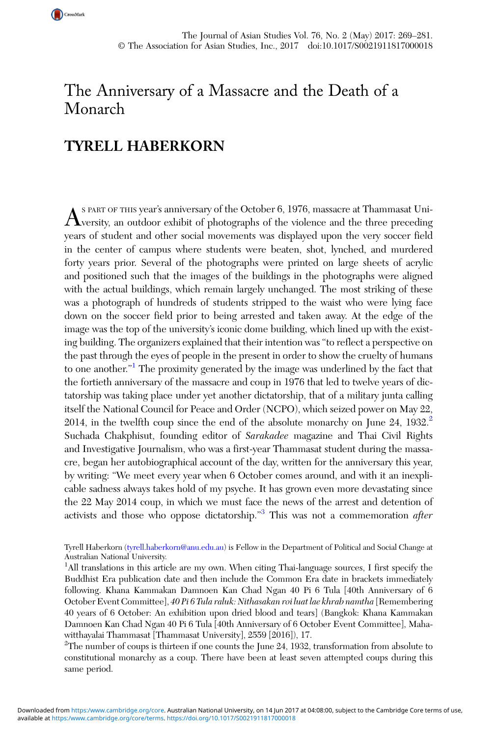

# The Anniversary of a Massacre and the Death of a Monarch

## TYRELL HABERKORN

 $A$ <sup>s PART OF THIS year's anniversary of the October 6, 1976, massacre at Thammasat Uni-<br>Versity, an outdoor exhibit of photographs of the violence and the three preceding</sup> years of student and other social movements was displayed upon the very soccer field in the center of campus where students were beaten, shot, lynched, and murdered forty years prior. Several of the photographs were printed on large sheets of acrylic and positioned such that the images of the buildings in the photographs were aligned with the actual buildings, which remain largely unchanged. The most striking of these was a photograph of hundreds of students stripped to the waist who were lying face down on the soccer field prior to being arrested and taken away. At the edge of the image was the top of the university's iconic dome building, which lined up with the existing building. The organizers explained that their intention was "to reflect a perspective on the past through the eyes of people in the present in order to show the cruelty of humans to one another."<sup>1</sup> The proximity generated by the image was underlined by the fact that the fortieth anniversary of the massacre and coup in 1976 that led to twelve years of dictatorship was taking place under yet another dictatorship, that of a military junta calling itself the National Council for Peace and Order (NCPO), which seized power on May 22, 2014, in the twelfth coup since the end of the absolute monarchy on June  $24$ ,  $1932<sup>2</sup>$ Suchada Chakphisut, founding editor of Sarakadee magazine and Thai Civil Rights and Investigative Journalism, who was a first-year Thammasat student during the massacre, began her autobiographical account of the day, written for the anniversary this year, by writing: "We meet every year when 6 October comes around, and with it an inexplicable sadness always takes hold of my psyche. It has grown even more devastating since the 22 May 2014 coup, in which we must face the news of the arrest and detention of activists and those who oppose dictatorship."<sup>[3](#page-1-0)</sup> This was not a commemoration after

Tyrell Haberkorn [\(tyrell.haberkorn@anu.edu.au\)](mailto:tyrell.haberkorn@anu.edu.au) is Fellow in the Department of Political and Social Change at Australian National University.

 $2^2$ The number of coups is thirteen if one counts the June 24, 1932, transformation from absolute to constitutional monarchy as a coup. There have been at least seven attempted coups during this same period.

<sup>&</sup>lt;sup>1</sup>All translations in this article are my own. When citing Thai-language sources, I first specify the Buddhist Era publication date and then include the Common Era date in brackets immediately following. Khana Kammakan Damnoen Kan Chad Ngan 40 Pi 6 Tula [40th Anniversary of 6 October Event Committee], 40 Pi 6 Tula raluk: Nithasakan roi luat lae khrab namtha [Remembering 40 years of 6 October: An exhibition upon dried blood and tears] (Bangkok: Khana Kammakan Damnoen Kan Chad Ngan 40 Pi 6 Tula [40th Anniversary of 6 October Event Committee], Mahawitthayalai Thammasat [Thammasat University], 2559 [2016]), 17.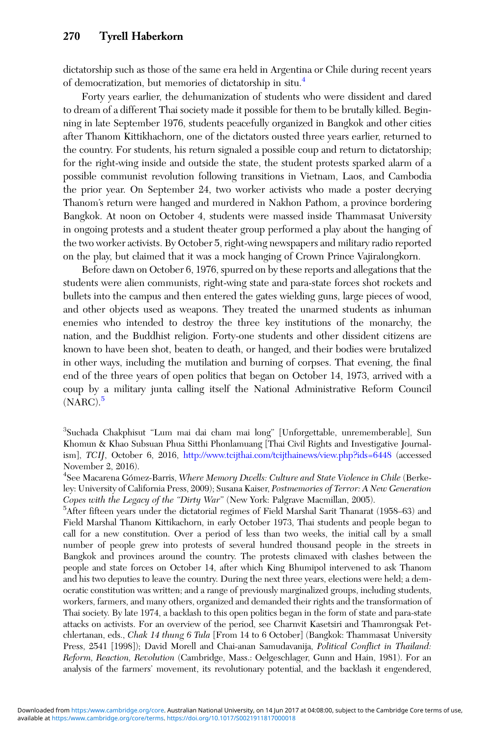<span id="page-1-0"></span>dictatorship such as those of the same era held in Argentina or Chile during recent years of democratization, but memories of dictatorship in situ.<sup>4</sup>

Forty years earlier, the dehumanization of students who were dissident and dared to dream of a different Thai society made it possible for them to be brutally killed. Beginning in late September 1976, students peacefully organized in Bangkok and other cities after Thanom Kittikhachorn, one of the dictators ousted three years earlier, returned to the country. For students, his return signaled a possible coup and return to dictatorship; for the right-wing inside and outside the state, the student protests sparked alarm of a possible communist revolution following transitions in Vietnam, Laos, and Cambodia the prior year. On September 24, two worker activists who made a poster decrying Thanom's return were hanged and murdered in Nakhon Pathom, a province bordering Bangkok. At noon on October 4, students were massed inside Thammasat University in ongoing protests and a student theater group performed a play about the hanging of the two worker activists. By October 5, right-wing newspapers and military radio reported on the play, but claimed that it was a mock hanging of Crown Prince Vajiralongkorn.

Before dawn on October 6, 1976, spurred on by these reports and allegations that the students were alien communists, right-wing state and para-state forces shot rockets and bullets into the campus and then entered the gates wielding guns, large pieces of wood, and other objects used as weapons. They treated the unarmed students as inhuman enemies who intended to destroy the three key institutions of the monarchy, the nation, and the Buddhist religion. Forty-one students and other dissident citizens are known to have been shot, beaten to death, or hanged, and their bodies were brutalized in other ways, including the mutilation and burning of corpses. That evening, the final end of the three years of open politics that began on October 14, 1973, arrived with a coup by a military junta calling itself the National Administrative Reform Council  $(NARC).$ <sup>5</sup>

<sup>5</sup> After fifteen years under the dictatorial regimes of Field Marshal Sarit Thanarat (1958–63) and Field Marshal Thanom Kittikachorn, in early October 1973, Thai students and people began to call for a new constitution. Over a period of less than two weeks, the initial call by a small number of people grew into protests of several hundred thousand people in the streets in Bangkok and provinces around the country. The protests climaxed with clashes between the people and state forces on October 14, after which King Bhumipol intervened to ask Thanom and his two deputies to leave the country. During the next three years, elections were held; a democratic constitution was written; and a range of previously marginalized groups, including students, workers, farmers, and many others, organized and demanded their rights and the transformation of Thai society. By late 1974, a backlash to this open politics began in the form of state and para-state attacks on activists. For an overview of the period, see Charnvit Kasetsiri and Thamrongsak Petchlertanan, eds., Chak 14 thung 6 Tula [From 14 to 6 October] (Bangkok: Thammasat University Press, 2541 [1998]); David Morell and Chai-anan Samudavanija, Political Conflict in Thailand: Reform, Reaction, Revolution (Cambridge, Mass.: Oelgeschlager, Gunn and Hain, 1981). For an analysis of the farmers' movement, its revolutionary potential, and the backlash it engendered,

<sup>3</sup> Suchada Chakphisut "Lum mai dai cham mai long" [Unforgettable, unrememberable], Sun Khomun & Khao Subsuan Phua Sitthi Phonlamuang [Thai Civil Rights and Investigative Journalism], TCIJ, October 6, 2016, <http://www.tcijthai.com/tcijthainews/view.php?ids=6448> (accessed November 2, 2016).

<sup>&</sup>lt;sup>4</sup>See Macarena Gómez-Barris, Where Memory Dwells: Culture and State Violence in Chile (Berkeley: University of California Press, 2009); Susana Kaiser, Postmemories of Terror: A New Generation Copes with the Legacy of the "Dirty War" (New York: Palgrave Macmillan, 2005).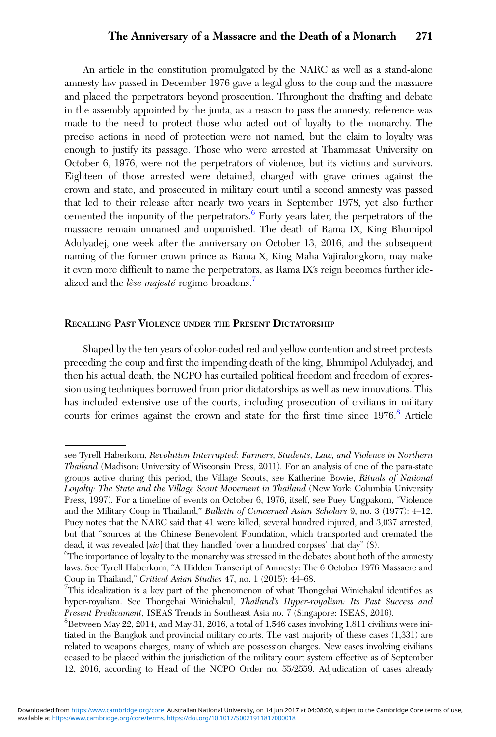#### The Anniversary of a Massacre and the Death of a Monarch 271

An article in the constitution promulgated by the NARC as well as a stand-alone amnesty law passed in December 1976 gave a legal gloss to the coup and the massacre and placed the perpetrators beyond prosecution. Throughout the drafting and debate in the assembly appointed by the junta, as a reason to pass the amnesty, reference was made to the need to protect those who acted out of loyalty to the monarchy. The precise actions in need of protection were not named, but the claim to loyalty was enough to justify its passage. Those who were arrested at Thammasat University on October 6, 1976, were not the perpetrators of violence, but its victims and survivors. Eighteen of those arrested were detained, charged with grave crimes against the crown and state, and prosecuted in military court until a second amnesty was passed that led to their release after nearly two years in September 1978, yet also further cemented the impunity of the perpetrators.<sup>6</sup> Forty years later, the perpetrators of the massacre remain unnamed and unpunished. The death of Rama IX, King Bhumipol Adulyadej, one week after the anniversary on October 13, 2016, and the subsequent naming of the former crown prince as Rama X, King Maha Vajiralongkorn, may make it even more difficult to name the perpetrators, as Rama IX's reign becomes further idealized and the *lèse majesté* regime broadens.<sup>7</sup>

#### RECALLING PAST VIOLENCE UNDER THE PRESENT DICTATORSHIP

Shaped by the ten years of color-coded red and yellow contention and street protests preceding the coup and first the impending death of the king, Bhumipol Adulyadej, and then his actual death, the NCPO has curtailed political freedom and freedom of expression using techniques borrowed from prior dictatorships as well as new innovations. This has included extensive use of the courts, including prosecution of civilians in military courts for crimes against the crown and state for the first time since  $1976$ .<sup>8</sup> Article

see Tyrell Haberkorn, Revolution Interrupted: Farmers, Students, Law, and Violence in Northern Thailand (Madison: University of Wisconsin Press, 2011). For an analysis of one of the para-state groups active during this period, the Village Scouts, see Katherine Bowie, Rituals of National Loyalty: The State and the Village Scout Movement in Thailand (New York: Columbia University Press, 1997). For a timeline of events on October 6, 1976, itself, see Puey Ungpakorn, "Violence and the Military Coup in Thailand," Bulletin of Concerned Asian Scholars 9, no. 3 (1977): 4–12. Puey notes that the NARC said that 41 were killed, several hundred injured, and 3,037 arrested, but that "sources at the Chinese Benevolent Foundation, which transported and cremated the dead, it was revealed [sic] that they handled 'over a hundred corpses' that day" (8).

<sup>&</sup>lt;sup>6</sup>The importance of loyalty to the monarchy was stressed in the debates about both of the amnesty laws. See Tyrell Haberkorn, "A Hidden Transcript of Amnesty: The 6 October 1976 Massacre and Coup in Thailand," Critical Asian Studies 47, no. 1 (2015): 44–68.

This idealization is a key part of the phenomenon of what Thongchai Winichakul identifies as hyper-royalism. See Thongchai Winichakul, Thailand's Hyper-royalism: Its Past Success and Present Predicament, ISEAS Trends in Southeast Asia no. 7 (Singapore: ISEAS, 2016).

Between May 22, 2014, and May 31, 2016, a total of 1,546 cases involving 1,811 civilians were initiated in the Bangkok and provincial military courts. The vast majority of these cases (1,331) are related to weapons charges, many of which are possession charges. New cases involving civilians ceased to be placed within the jurisdiction of the military court system effective as of September 12, 2016, according to Head of the NCPO Order no. 55/2559. Adjudication of cases already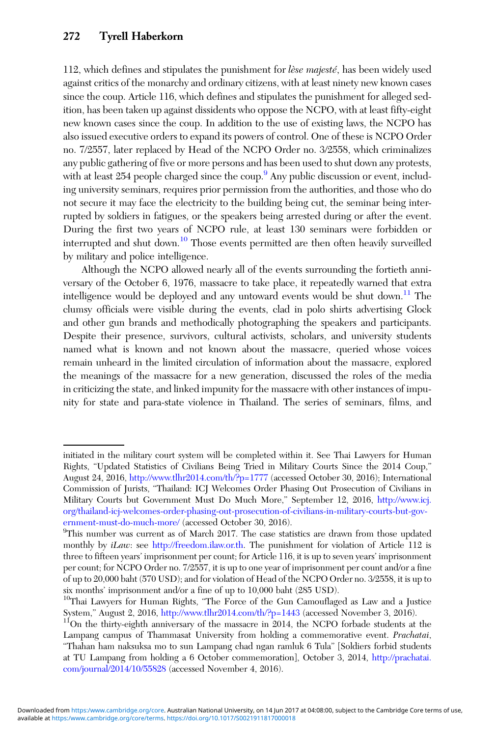### 272 Tyrell Haberkorn

112, which defines and stipulates the punishment for lèse majesté, has been widely used against critics of the monarchy and ordinary citizens, with at least ninety new known cases since the coup. Article 116, which defines and stipulates the punishment for alleged sedition, has been taken up against dissidents who oppose the NCPO, with at least fifty-eight new known cases since the coup. In addition to the use of existing laws, the NCPO has also issued executive orders to expand its powers of control. One of these is NCPO Order no. 7/2557, later replaced by Head of the NCPO Order no. 3/2558, which criminalizes any public gathering of five or more persons and has been used to shut down any protests, with at least  $254$  people charged since the coup.<sup>9</sup> Any public discussion or event, including university seminars, requires prior permission from the authorities, and those who do not secure it may face the electricity to the building being cut, the seminar being interrupted by soldiers in fatigues, or the speakers being arrested during or after the event. During the first two years of NCPO rule, at least 130 seminars were forbidden or interrupted and shut down.<sup>10</sup> Those events permitted are then often heavily surveilled by military and police intelligence.

Although the NCPO allowed nearly all of the events surrounding the fortieth anniversary of the October 6, 1976, massacre to take place, it repeatedly warned that extra intelligence would be deployed and any untoward events would be shut down.<sup>11</sup> The clumsy officials were visible during the events, clad in polo shirts advertising Glock and other gun brands and methodically photographing the speakers and participants. Despite their presence, survivors, cultural activists, scholars, and university students named what is known and not known about the massacre, queried whose voices remain unheard in the limited circulation of information about the massacre, explored the meanings of the massacre for a new generation, discussed the roles of the media in criticizing the state, and linked impunity for the massacre with other instances of impunity for state and para-state violence in Thailand. The series of seminars, films, and

initiated in the military court system will be completed within it. See Thai Lawyers for Human Rights, "Updated Statistics of Civilians Being Tried in Military Courts Since the 2014 Coup," August 24, 2016, <http://www.tlhr2014.com/th/?p=1777> (accessed October 30, 2016); International Commission of Jurists, "Thailand: ICJ Welcomes Order Phasing Out Prosecution of Civilians in Military Courts but Government Must Do Much More," September 12, 2016, [http://www.icj.](http://www.icj.org/thailand-icj-welcomes-order-phasing-out-prosecution-of-civilians-in-military-courts-but-government-must-do-much-more/) [org/thailand-icj-welcomes-order-phasing-out-prosecution-of-civilians-in-military-courts-but-gov](http://www.icj.org/thailand-icj-welcomes-order-phasing-out-prosecution-of-civilians-in-military-courts-but-government-must-do-much-more/)[ernment-must-do-much-more/](http://www.icj.org/thailand-icj-welcomes-order-phasing-out-prosecution-of-civilians-in-military-courts-but-government-must-do-much-more/) (accessed October 30, 2016).

<sup>&</sup>lt;sup>9</sup>This number was current as of March 2017. The case statistics are drawn from those updated monthly by *iLaw*: see [http://freedom.ilaw.or.th.](http://freedom.ilaw.or.th) The punishment for violation of Article 112 is three to fifteen years' imprisonment per count; for Article 116, it is up to seven years' imprisonment per count; for NCPO Order no. 7/2557, it is up to one year of imprisonment per count and/or a fine of up to 20,000 baht (570 USD); and for violation of Head of the NCPO Order no. 3/2558, it is up to six months' imprisonment and/or a fine of up to 10,000 baht (285 USD).<br><sup>10</sup>Thai Lawyers for Human Rights, "The Force of the Gun Camouflaged as Law and a Justice

System," August 2, 2016, <http://www.tlhr2014.com/th/?p=1443> (accessed November 3, 2016). <sup>11</sup>On the thirty-eighth anniversary of the massacre in 2014, the NCPO forbade students at the Lampang campus of Thammasat University from holding a commemorative event. *Prachatai*, "Thahan ham naksuksa mo to sun Lampang chad ngan ramluk 6 Tula" [Soldiers forbid students at TU Lampang from holding a 6 October commemoration], October 3, 2014, [http://prachatai.](http://prachatai.com/journal/2014/10/55828) [com/journal/2014/10/55828](http://prachatai.com/journal/2014/10/55828) (accessed November 4, 2016).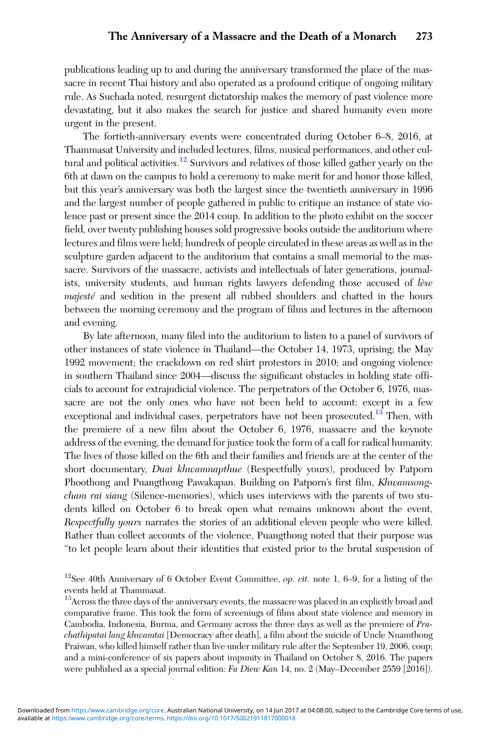publications leading up to and during the anniversary transformed the place of the massacre in recent Thai history and also operated as a profound critique of ongoing military rule. As Suchada noted, resurgent dictatorship makes the memory of past violence more devastating, but it also makes the search for justice and shared humanity even more urgent in the present.

The fortieth-anniversary events were concentrated during October 6–8, 2016, at Thammasat University and included lectures, films, musical performances, and other cultural and political activities.<sup>12</sup> Survivors and relatives of those killed gather yearly on the 6th at dawn on the campus to hold a ceremony to make merit for and honor those killed, but this year's anniversary was both the largest since the twentieth anniversary in 1996 and the largest number of people gathered in public to critique an instance of state violence past or present since the 2014 coup. In addition to the photo exhibit on the soccer field, over twenty publishing houses sold progressive books outside the auditorium where lectures and films were held; hundreds of people circulated in these areas as well as in the sculpture garden adjacent to the auditorium that contains a small memorial to the massacre. Survivors of the massacre, activists and intellectuals of later generations, journalists, university students, and human rights lawyers defending those accused of lèse majesté and sedition in the present all rubbed shoulders and chatted in the hours between the morning ceremony and the program of films and lectures in the afternoon and evening.

By late afternoon, many filed into the auditorium to listen to a panel of survivors of other instances of state violence in Thailand—the October 14, 1973, uprising; the May 1992 movement; the crackdown on red shirt protestors in 2010; and ongoing violence in southern Thailand since 2004—discuss the significant obstacles in holding state officials to account for extrajudicial violence. The perpetrators of the October 6, 1976, massacre are not the only ones who have not been held to account: except in a few exceptional and individual cases, perpetrators have not been prosecuted.<sup>13</sup> Then, with the premiere of a new film about the October 6, 1976, massacre and the keynote address of the evening, the demand for justice took the form of a call for radical humanity. The lives of those killed on the 6th and their families and friends are at the center of the short documentary, Duai khwamnapthue (Respectfully yours), produced by Patporn Phoothong and Puangthong Pawakapan. Building on Patporn's first film, Khwamsongcham rai siang (Silence-memories), which uses interviews with the parents of two students killed on October 6 to break open what remains unknown about the event, Respectfully yours narrates the stories of an additional eleven people who were killed. Rather than collect accounts of the violence, Puangthong noted that their purpose was "to let people learn about their identities that existed prior to the brutal suspension of

<sup>12</sup>See 40th Anniversary of 6 October Event Committee, *op. cit.* note 1, 6–9, for a listing of the events held at Thammasat.

<sup>13</sup> Across the three days of the anniversary events, the massacre was placed in an explicitly broad and comparative frame. This took the form of screenings of films about state violence and memory in Cambodia, Indonesia, Burma, and Germany across the three days as well as the premiere of Prachathipatai lang khwamtai [Democracy after death], a film about the suicide of Uncle Nuamthong Praiwan, who killed himself rather than live under military rule after the September 19, 2006, coup; and a mini-conference of six papers about impunity in Thailand on October 8, 2016. The papers were published as a special journal edition: Fa Diew Kan 14, no. 2 (May–December 2559 [2016]).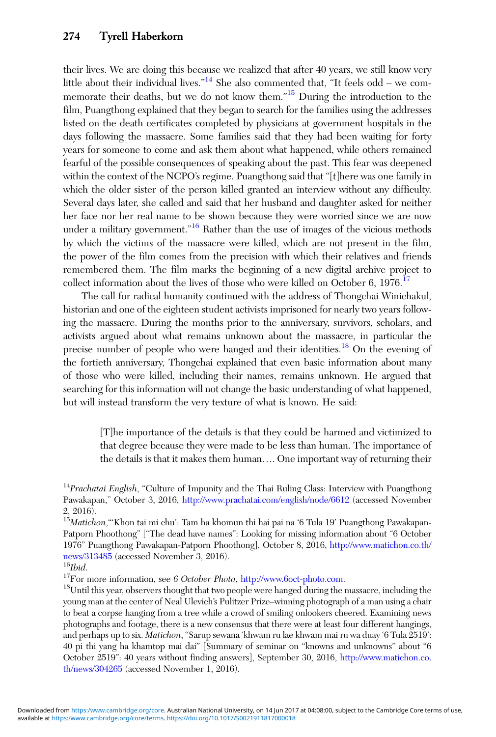#### 274 Tyrell Haberkorn

their lives. We are doing this because we realized that after 40 years, we still know very little about their individual lives."<sup>14</sup> She also commented that, "It feels odd – we commemorate their deaths, but we do not know them."<sup>15</sup> During the introduction to the film, Puangthong explained that they began to search for the families using the addresses listed on the death certificates completed by physicians at government hospitals in the days following the massacre. Some families said that they had been waiting for forty years for someone to come and ask them about what happened, while others remained fearful of the possible consequences of speaking about the past. This fear was deepened within the context of the NCPO's regime. Puangthong said that "[t]here was one family in which the older sister of the person killed granted an interview without any difficulty. Several days later, she called and said that her husband and daughter asked for neither her face nor her real name to be shown because they were worried since we are now under a military government."<sup>16</sup> Rather than the use of images of the vicious methods by which the victims of the massacre were killed, which are not present in the film, the power of the film comes from the precision with which their relatives and friends remembered them. The film marks the beginning of a new digital archive project to collect information about the lives of those who were killed on October 6,  $1976$ .<sup>17</sup>

The call for radical humanity continued with the address of Thongchai Winichakul, historian and one of the eighteen student activists imprisoned for nearly two years following the massacre. During the months prior to the anniversary, survivors, scholars, and activists argued about what remains unknown about the massacre, in particular the precise number of people who were hanged and their identities.<sup>18</sup> On the evening of the fortieth anniversary, Thongchai explained that even basic information about many of those who were killed, including their names, remains unknown. He argued that searching for this information will not change the basic understanding of what happened, but will instead transform the very texture of what is known. He said:

[T]he importance of the details is that they could be harmed and victimized to that degree because they were made to be less than human. The importance of the details is that it makes them human…. One important way of returning their

<sup>&</sup>lt;sup>14</sup>Prachatai English, "Culture of Impunity and the Thai Ruling Class: Interview with Puangthong Pawakapan," October 3, 2016, <http://www.prachatai.com/english/node/6612> (accessed November 2, 2016).

<sup>&</sup>lt;sup>15</sup>Matichon, "Khon tai mi chu': Tam ha khomun thi hai pai na '6 Tula 19' Puangthong Pawakapan-Patporn Phoothong" ["The dead have names": Looking for missing information about "6 October 1976" Puangthong Pawakapan-Patporn Phoothong], October 8, 2016, [http://www.matichon.co.th/](http://www.matichon.co.th/news/313485) [news/313485](http://www.matichon.co.th/news/313485) (accessed November 3, 2016).  $^{16}I^{bd}$ .  $^{16}I^{bd}$ .  $^{17}I^{6}$  more information, see 6 October Photo, <http://www.6oct-photo.com>.  $^{18}I^{6}$  Until this year, observers thought that two people were hanged durin

young man at the center of Neal Ulevich's Pulitzer Prize–winning photograph of a man using a chair to beat a corpse hanging from a tree while a crowd of smiling onlookers cheered. Examining news photographs and footage, there is a new consensus that there were at least four different hangings, and perhaps up to six. Matichon, "Sarup sewana 'khwam ru lae khwam mai ru wa duay '6 Tula 2519': 40 pi thi yang ha khamtop mai dai" [Summary of seminar on "knowns and unknowns" about "6 October 2519": 40 years without finding answers], September 30, 2016, [http://www.matichon.co.](http://www.matichon.co.th/news/304265) [th/news/304265](http://www.matichon.co.th/news/304265) (accessed November 1, 2016).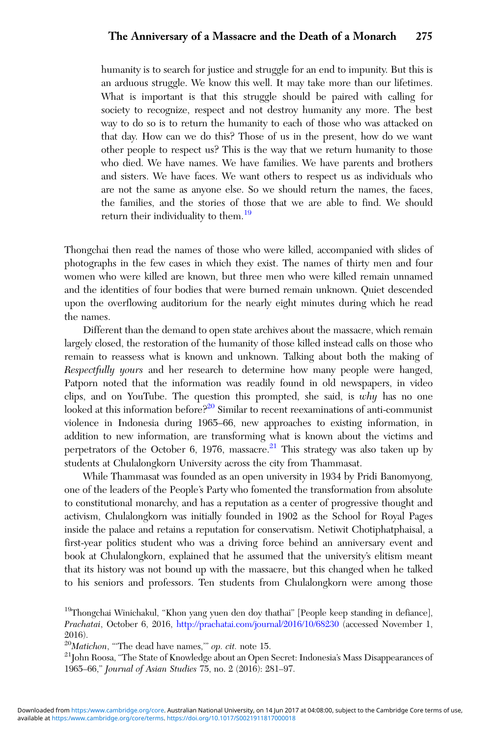humanity is to search for justice and struggle for an end to impunity. But this is an arduous struggle. We know this well. It may take more than our lifetimes. What is important is that this struggle should be paired with calling for society to recognize, respect and not destroy humanity any more. The best way to do so is to return the humanity to each of those who was attacked on that day. How can we do this? Those of us in the present, how do we want other people to respect us? This is the way that we return humanity to those who died. We have names. We have families. We have parents and brothers and sisters. We have faces. We want others to respect us as individuals who are not the same as anyone else. So we should return the names, the faces, the families, and the stories of those that we are able to find. We should return their individuality to them.<sup>19</sup>

Thongchai then read the names of those who were killed, accompanied with slides of photographs in the few cases in which they exist. The names of thirty men and four women who were killed are known, but three men who were killed remain unnamed and the identities of four bodies that were burned remain unknown. Quiet descended upon the overflowing auditorium for the nearly eight minutes during which he read the names.

Different than the demand to open state archives about the massacre, which remain largely closed, the restoration of the humanity of those killed instead calls on those who remain to reassess what is known and unknown. Talking about both the making of Respectfully yours and her research to determine how many people were hanged, Patporn noted that the information was readily found in old newspapers, in video clips, and on YouTube. The question this prompted, she said, is why has no one looked at this information before $2^{20}$  Similar to recent reexaminations of anti-communist violence in Indonesia during 1965–66, new approaches to existing information, in addition to new information, are transforming what is known about the victims and perpetrators of the October 6, 1976, massacre.<sup>21</sup> This strategy was also taken up by students at Chulalongkorn University across the city from Thammasat.

While Thammasat was founded as an open university in 1934 by Pridi Banomyong, one of the leaders of the People's Party who fomented the transformation from absolute to constitutional monarchy, and has a reputation as a center of progressive thought and activism, Chulalongkorn was initially founded in 1902 as the School for Royal Pages inside the palace and retains a reputation for conservatism. Netiwit Chotiphatphaisal, a first-year politics student who was a driving force behind an anniversary event and book at Chulalongkorn, explained that he assumed that the university's elitism meant that its history was not bound up with the massacre, but this changed when he talked to his seniors and professors. Ten students from Chulalongkorn were among those

<sup>&</sup>lt;sup>19</sup>Thongchai Winichakul, "Khon yang yuen den doy thathai" [People keep standing in defiance], Prachatai, October 6, 2016, <http://prachatai.com/journal/2016/10/68230> (accessed November 1, 2016).<br><sup>20</sup>Matichon, "The dead have names," op. cit. note 15.

<sup>&</sup>lt;sup>21</sup>John Roosa, "The State of Knowledge about an Open Secret: Indonesia's Mass Disappearances of 1965–66," Journal of Asian Studies 75, no. 2 (2016): 281–97.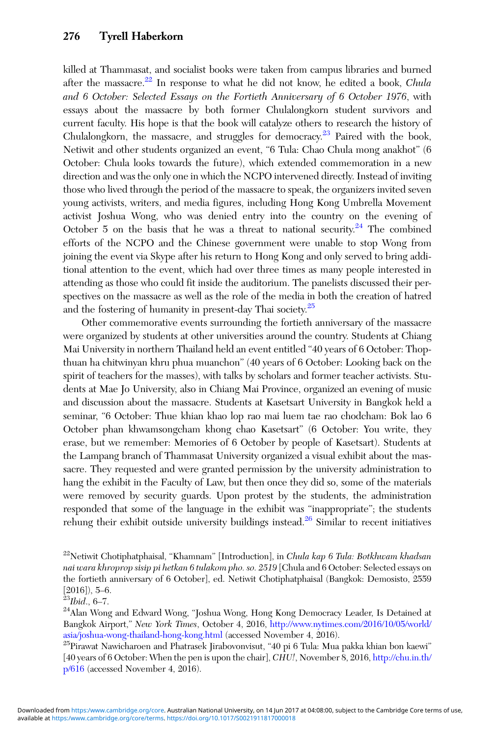killed at Thammasat, and socialist books were taken from campus libraries and burned after the massacre. $22$  In response to what he did not know, he edited a book, Chula and 6 October: Selected Essays on the Fortieth Anniversary of 6 October 1976, with essays about the massacre by both former Chulalongkorn student survivors and current faculty. His hope is that the book will catalyze others to research the history of Chulalongkorn, the massacre, and struggles for democracy.<sup>23</sup> Paired with the book, Netiwit and other students organized an event, "6 Tula: Chao Chula mong anakhot" (6 October: Chula looks towards the future), which extended commemoration in a new direction and was the only one in which the NCPO intervened directly. Instead of inviting those who lived through the period of the massacre to speak, the organizers invited seven young activists, writers, and media figures, including Hong Kong Umbrella Movement activist Joshua Wong, who was denied entry into the country on the evening of October 5 on the basis that he was a threat to national security. $24$  The combined efforts of the NCPO and the Chinese government were unable to stop Wong from joining the event via Skype after his return to Hong Kong and only served to bring additional attention to the event, which had over three times as many people interested in attending as those who could fit inside the auditorium. The panelists discussed their perspectives on the massacre as well as the role of the media in both the creation of hatred and the fostering of humanity in present-day Thai society.<sup>25</sup>

Other commemorative events surrounding the fortieth anniversary of the massacre were organized by students at other universities around the country. Students at Chiang Mai University in northern Thailand held an event entitled "40 years of 6 October: Thopthuan ha chitwinyan khru phua muanchon" (40 years of 6 October: Looking back on the spirit of teachers for the masses), with talks by scholars and former teacher activists. Students at Mae Jo University, also in Chiang Mai Province, organized an evening of music and discussion about the massacre. Students at Kasetsart University in Bangkok held a seminar, "6 October: Thue khian khao lop rao mai luem tae rao chodcham: Bok lao 6 October phan khwamsongcham khong chao Kasetsart" (6 October: You write, they erase, but we remember: Memories of 6 October by people of Kasetsart). Students at the Lampang branch of Thammasat University organized a visual exhibit about the massacre. They requested and were granted permission by the university administration to hang the exhibit in the Faculty of Law, but then once they did so, some of the materials were removed by security guards. Upon protest by the students, the administration responded that some of the language in the exhibit was "inappropriate"; the students rehung their exhibit outside university buildings instead.<sup>[26](#page-8-0)</sup> Similar to recent initiatives

<sup>&</sup>lt;sup>22</sup>Netiwit Chotiphatphaisal, "Khamnam" [Introduction], in Chula kap 6 Tula: Botkhwam khadsan nai wara khroprop sisip pi hetkan 6 tulakom pho. so. 2519 [Chula and 6 October: Selected essays on the fortieth anniversary of 6 October], ed. Netiwit Chotiphatphaisal (Bangkok: Demosisto, 2559 [2016]), 5–6.  $^{23}Ibid., 6–7.$ <br> $^{24}Alan$  Wong and Edward Wong, "Joshua Wong, Hong Kong Democracy Leader, Is Detained at

Bangkok Airport," New York Times, October 4, 2016, [http://www.nytimes.com/2016/10/05/world/](http://www.nytimes.com/2016/10/05/world/asia/joshua-wong-thailand-hong-kong.html) [asia/joshua-wong-thailand-hong-kong.html](http://www.nytimes.com/2016/10/05/world/asia/joshua-wong-thailand-hong-kong.html) (accessed November 4, 2016). 25Pirawat Nawicharoen and Phatrasek Jirabovonvisut, "40 pi 6 Tula: Mua pakka khian bon kaewi"

<sup>[40</sup> years of 6 October: When the pen is upon the chair], CHU!, November 8, 2016, [http://chu.in.th/](http://chu.in.th/p/616) [p/616](http://chu.in.th/p/616) (accessed November 4, 2016).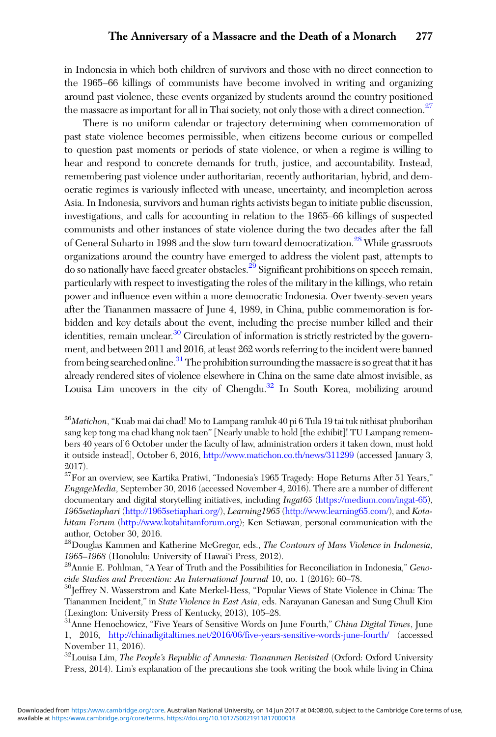<span id="page-8-0"></span>in Indonesia in which both children of survivors and those with no direct connection to the 1965–66 killings of communists have become involved in writing and organizing around past violence, these events organized by students around the country positioned the massacre as important for all in Thai society, not only those with a direct connection.<sup>27</sup>

There is no uniform calendar or trajectory determining when commemoration of past state violence becomes permissible, when citizens become curious or compelled to question past moments or periods of state violence, or when a regime is willing to hear and respond to concrete demands for truth, justice, and accountability. Instead, remembering past violence under authoritarian, recently authoritarian, hybrid, and democratic regimes is variously inflected with unease, uncertainty, and incompletion across Asia. In Indonesia, survivors and human rights activists began to initiate public discussion, investigations, and calls for accounting in relation to the 1965–66 killings of suspected communists and other instances of state violence during the two decades after the fall of General Suharto in 1998 and the slow turn toward democratization.<sup>28</sup> While grassroots organizations around the country have emerged to address the violent past, attempts to do so nationally have faced greater obstacles.<sup>29</sup> Significant prohibitions on speech remain, particularly with respect to investigating the roles of the military in the killings, who retain power and influence even within a more democratic Indonesia. Over twenty-seven years after the Tiananmen massacre of June 4, 1989, in China, public commemoration is forbidden and key details about the event, including the precise number killed and their identities, remain unclear. $30$  Circulation of information is strictly restricted by the government, and between 2011 and 2016, at least 262 words referring to the incident were banned from being searched online.<sup>31</sup> The prohibition surrounding the massacre is so great that it has already rendered sites of violence elsewhere in China on the same date almost invisible, as Louisa Lim uncovers in the city of Chengdu. $32$  In South Korea, mobilizing around

<sup>&</sup>lt;sup>26</sup>Matichon, "Kuab mai dai chad! Mo to Lampang ramluk 40 pi 6 Tula 19 tai tuk nithisat phuborihan sang kep tong ma chad khang nok taen" [Nearly unable to hold [the exhibit]! TU Lampang remembers 40 years of 6 October under the faculty of law, administration orders it taken down, must hold it outside instead], October 6, 2016, <http://www.matichon.co.th/news/311299> (accessed January 3, 2017).

 $^{27}\rm{For}$ an overview, see Kartika Pratiwi, "Indonesia's 1965 Tragedy: Hope Returns After 51 Years," EngageMedia, September 30, 2016 (accessed November 4, 2016). There are a number of different documentary and digital storytelling initiatives, including Ingat65 [\(https://medium.com/ingat-65\)](https://medium.com/ingat-65), 1965setiaphari [\(http://1965setiaphari.org/](http://1965setiaphari.org/)), Learning1965 (<http://www.learning65.com/>), and Kotahitam Forum ([http://www.kotahitamforum.org\)](http://www.kotahitamforum.org); Ken Setiawan, personal communication with the author, October 30, 2016.

 $^{28}$ Douglas Kammen and Katherine McGregor, eds., The Contours of Mass Violence in Indonesia, 1965–1968 (Honolulu: University of Hawai'i Press, 2012).<br><sup>29</sup>Annie E. Pohlman, "A Year of Truth and the Possibilities for Reconciliation in Indonesia," *Geno*-

cide Studies and Prevention: An International Journal 10, no. 1 (2016): 60–78.<br><sup>30</sup>Jeffrey N. Wasserstrom and Kate Merkel-Hess, "Popular Views of State Violence in China: The

Tiananmen Incident," in State Violence in East Asia, eds. Narayanan Ganesan and Sung Chull Kim (Lexington: University Press of Kentucky, 2013), 105–28.  $^{31}\!$  Anne Henochowicz, "Five Years of Sensitive Words on June Fourth," China Digital Times, June  $^{31}\!$ 

<sup>1, 2016,</sup> <http://chinadigitaltimes.net/2016/06/five-years-sensitive-words-june-fourth/> (accessed November 11, 2016).

 $^{32}$  Louisa Lim, The People's Republic of Amnesia: Tiananmen Revisited (Oxford: Oxford University Press, 2014). Lim's explanation of the precautions she took writing the book while living in China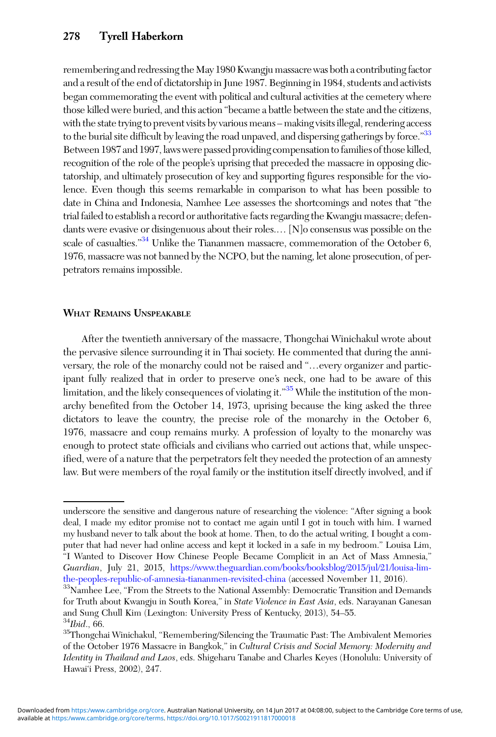## 278 Tyrell Haberkorn

remembering and redressing theMay 1980 Kwangju massacre was both a contributing factor and a result of the end of dictatorship in June 1987. Beginning in 1984, students and activists began commemorating the event with political and cultural activities at the cemetery where those killed were buried, and this action "became a battle between the state and the citizens, with the state trying to prevent visits by various means – making visits illegal, rendering access to the burial site difficult by leaving the road unpaved, and dispersing gatherings by force."<sup>33</sup> Between 1987 and 1997, laws were passed providing compensation to families of those killed, recognition of the role of the people's uprising that preceded the massacre in opposing dictatorship, and ultimately prosecution of key and supporting figures responsible for the violence. Even though this seems remarkable in comparison to what has been possible to date in China and Indonesia, Namhee Lee assesses the shortcomings and notes that "the trial failed to establish a record or authoritative facts regarding the Kwangju massacre; defendants were evasive or disingenuous about their roles.… [N]o consensus was possible on the scale of casualties."<sup>34</sup> Unlike the Tiananmen massacre, commemoration of the October 6, 1976, massacre was not banned by the NCPO, but the naming, let alone prosecution, of perpetrators remains impossible.

#### WHAT REMAINS UNSPEAKABLE

After the twentieth anniversary of the massacre, Thongchai Winichakul wrote about the pervasive silence surrounding it in Thai society. He commented that during the anniversary, the role of the monarchy could not be raised and "…every organizer and participant fully realized that in order to preserve one's neck, one had to be aware of this limitation, and the likely consequences of violating it."<sup>35</sup> While the institution of the monarchy benefited from the October 14, 1973, uprising because the king asked the three dictators to leave the country, the precise role of the monarchy in the October 6, 1976, massacre and coup remains murky. A profession of loyalty to the monarchy was enough to protect state officials and civilians who carried out actions that, while unspecified, were of a nature that the perpetrators felt they needed the protection of an amnesty law. But were members of the royal family or the institution itself directly involved, and if

underscore the sensitive and dangerous nature of researching the violence: "After signing a book deal, I made my editor promise not to contact me again until I got in touch with him. I warned my husband never to talk about the book at home. Then, to do the actual writing, I bought a computer that had never had online access and kept it locked in a safe in my bedroom." Louisa Lim, "I Wanted to Discover How Chinese People Became Complicit in an Act of Mass Amnesia," Guardian, July 21, 2015, [https://www.theguardian.com/books/booksblog/2015/jul/21/louisa-lim-](https://www.theguardian.com/books/booksblog/2015/jul/21/louisa-lim-the-peoples-republic-of-amnesia-tiananmen-revisited-china)

[the-peoples-republic-of-amnesia-tiananmen-revisited-china](https://www.theguardian.com/books/booksblog/2015/jul/21/louisa-lim-the-peoples-republic-of-amnesia-tiananmen-revisited-china) (accessed November 11, 2016). <sup>33</sup>Namhee Lee, "From the Streets to the National Assembly: Democratic Transition and Demands for Truth about Kwangju in South Korea," in State Violence in East Asia, eds. Narayanan Ganesan and Sung Chull Kim (Lexington: University Press of Kentucky, 2013), 54–55.<br><sup>34</sup>Ibid., 66.<br><sup>35</sup>Thongchai Winichakul, "Remembering/Silencing the Traumatic Past: The Ambivalent Memories

of the October 1976 Massacre in Bangkok," in Cultural Crisis and Social Memory: Modernity and Identity in Thailand and Laos, eds. Shigeharu Tanabe and Charles Keyes (Honolulu: University of Hawai'i Press, 2002), 247.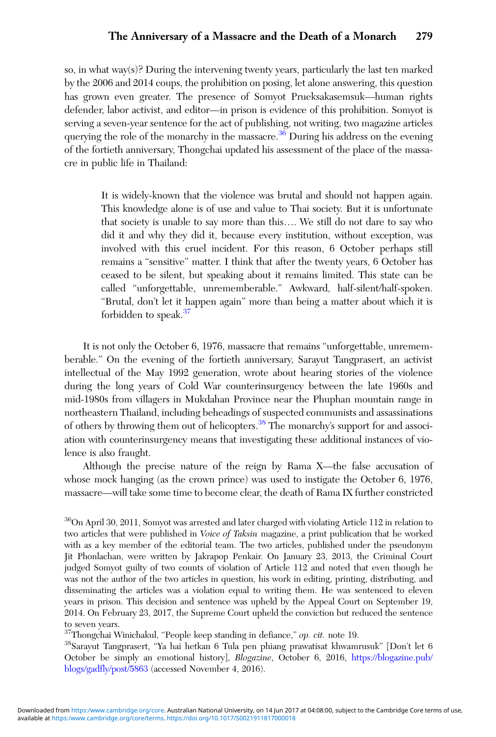so, in what way(s)? During the intervening twenty years, particularly the last ten marked by the 2006 and 2014 coups, the prohibition on posing, let alone answering, this question has grown even greater. The presence of Somyot Prueksakasemsuk—human rights defender, labor activist, and editor—in prison is evidence of this prohibition. Somyot is serving a seven-year sentence for the act of publishing, not writing, two magazine articles querying the role of the monarchy in the massacre.<sup>36</sup> During his address on the evening of the fortieth anniversary, Thongchai updated his assessment of the place of the massacre in public life in Thailand:

It is widely-known that the violence was brutal and should not happen again. This knowledge alone is of use and value to Thai society. But it is unfortunate that society is unable to say more than this…. We still do not dare to say who did it and why they did it, because every institution, without exception, was involved with this cruel incident. For this reason, 6 October perhaps still remains a "sensitive" matter. I think that after the twenty years, 6 October has ceased to be silent, but speaking about it remains limited. This state can be called "unforgettable, unrememberable." Awkward, half-silent/half-spoken. "Brutal, don't let it happen again" more than being a matter about which it is forbidden to speak.<sup>37</sup>

It is not only the October 6, 1976, massacre that remains "unforgettable, unrememberable." On the evening of the fortieth anniversary, Sarayut Tangprasert, an activist intellectual of the May 1992 generation, wrote about hearing stories of the violence during the long years of Cold War counterinsurgency between the late 1960s and mid-1980s from villagers in Mukdahan Province near the Phuphan mountain range in northeastern Thailand, including beheadings of suspected communists and assassinations of others by throwing them out of helicopters.<sup>38</sup> The monarchy's support for and associ-ation with counterinsurgency means that investigating these additional instances of violence is also fraught.

Although the precise nature of the reign by Rama X—the false accusation of whose mock hanging (as the crown prince) was used to instigate the October 6, 1976, massacre—will take some time to become clear, the death of Rama IX further constricted

36On April 30, 2011, Somyot was arrested and later charged with violating Article 112 in relation to two articles that were published in Voice of Taksin magazine, a print publication that he worked with as a key member of the editorial team. The two articles, published under the pseudonym Jit Phonlachan, were written by Jakrapop Penkair. On January 23, 2013, the Criminal Court judged Somyot guilty of two counts of violation of Article 112 and noted that even though he was not the author of the two articles in question, his work in editing, printing, distributing, and disseminating the articles was a violation equal to writing them. He was sentenced to eleven years in prison. This decision and sentence was upheld by the Appeal Court on September 19, 2014. On February 23, 2017, the Supreme Court upheld the conviction but reduced the sentence

to seven years.<br> $37$ Thongchai Winichakul, "People keep standing in defiance," *op. cit.* note 19.

<sup>38</sup>Sarayut Tangprasert, "Ya hai hetkan 6 Tula pen phiang prawatisat khwamrusuk" [Don't let 6 October be simply an emotional history], Blogazine, October 6, 2016, [https://blogazine.pub/](https://blogazine.pub/blogs/gadfly/post/5863) [blogs/gadfly/post/5863](https://blogazine.pub/blogs/gadfly/post/5863) (accessed November 4, 2016).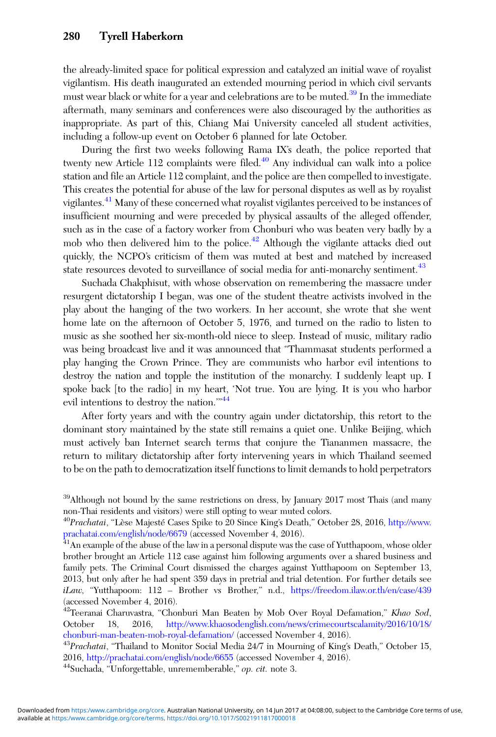the already-limited space for political expression and catalyzed an initial wave of royalist vigilantism. His death inaugurated an extended mourning period in which civil servants must wear black or white for a year and celebrations are to be muted.<sup>39</sup> In the immediate aftermath, many seminars and conferences were also discouraged by the authorities as inappropriate. As part of this, Chiang Mai University canceled all student activities, including a follow-up event on October 6 planned for late October.

During the first two weeks following Rama IX's death, the police reported that twenty new Article 112 complaints were filed.<sup>40</sup> Any individual can walk into a police station and file an Article 112 complaint, and the police are then compelled to investigate. This creates the potential for abuse of the law for personal disputes as well as by royalist vigilantes.<sup>41</sup> Many of these concerned what royalist vigilantes perceived to be instances of insufficient mourning and were preceded by physical assaults of the alleged offender, such as in the case of a factory worker from Chonburi who was beaten very badly by a mob who then delivered him to the police.<sup>42</sup> Although the vigilante attacks died out quickly, the NCPO's criticism of them was muted at best and matched by increased state resources devoted to surveillance of social media for anti-monarchy sentiment.<sup>43</sup>

Suchada Chakphisut, with whose observation on remembering the massacre under resurgent dictatorship I began, was one of the student theatre activists involved in the play about the hanging of the two workers. In her account, she wrote that she went home late on the afternoon of October 5, 1976, and turned on the radio to listen to music as she soothed her six-month-old niece to sleep. Instead of music, military radio was being broadcast live and it was announced that "Thammasat students performed a play hanging the Crown Prince. They are communists who harbor evil intentions to destroy the nation and topple the institution of the monarchy. I suddenly leapt up. I spoke back [to the radio] in my heart, 'Not true. You are lying. It is you who harbor evil intentions to destroy the nation."<sup>44</sup>

After forty years and with the country again under dictatorship, this retort to the dominant story maintained by the state still remains a quiet one. Unlike Beijing, which must actively ban Internet search terms that conjure the Tiananmen massacre, the return to military dictatorship after forty intervening years in which Thailand seemed to be on the path to democratization itself functions to limit demands to hold perpetrators

<sup>&</sup>lt;sup>39</sup>Although not bound by the same restrictions on dress, by January 2017 most Thais (and many non-Thai residents and visitors) were still opting to wear muted colors.

<sup>&</sup>lt;sup>40</sup>Prachatai, "Lèse Majesté Cases Spike to 20 Since King's Death," October 28, 2016, [http://www.](http://www.prachatai.com/english/node/6679)

[prachatai.com/english/node/6679](http://www.prachatai.com/english/node/6679) (accessed November 4, 2016).  $41$ An example of the abuse of the law in a personal dispute was the case of Yutthapoom, whose older brother brought an Article 112 case against him following arguments over a shared business and family pets. The Criminal Court dismissed the charges against Yutthapoom on September 13, 2013, but only after he had spent 359 days in pretrial and trial detention. For further details see iLaw, "Yutthapoom: 112 – Brother vs Brother," n.d., <https://freedom.ilaw.or.th/en/case/439> (accessed November 4, 2016).

<sup>&</sup>lt;sup>42</sup>Teeranai Charuvastra, "Chonburi Man Beaten by Mob Over Royal Defamation," Khao Sod, October 18, 2016, [http://www.khaosodenglish.com/news/crimecourtscalamity/2016/10/18/](http://www.khaosodenglish.com/news/crimecourtscalamity/2016/10/18/chonburi-man-beaten-mob-royal-defamation/) [chonburi-man-beaten-mob-royal-defamation/](http://www.khaosodenglish.com/news/crimecourtscalamity/2016/10/18/chonburi-man-beaten-mob-royal-defamation/) (accessed November 4, 2016). <sup>43</sup>Prachatai, "Thailand to Monitor Social Media 24/7 in Mourning of King's Death," October 15,

<sup>2016,</sup> <http://prachatai.com/english/node/6655> (accessed November 4, 2016).  $44$ Suchada, "Unforgettable, unrememberable," op. cit. note 3.